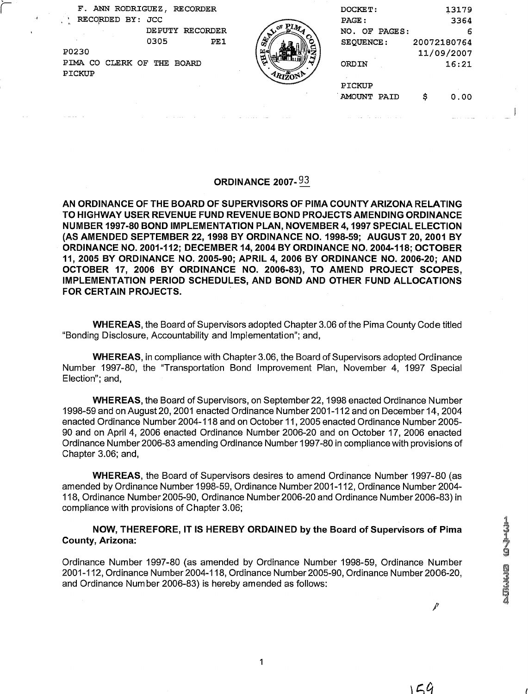i F. ANN RODRIGUEZ, RECORDER DOCKET: 13179<br>RECORDED BY: JCC PAGE : 2364 RECORDED BY: JCC<br>DEPUTY RECORDER PO230 11/09/2007

PIMA CO CLERK OF THE BOARD PICKUP



| UEZ,<br>RECORDER           |        | DOCKET:          |             | 13179 |
|----------------------------|--------|------------------|-------------|-------|
| JCC                        |        | PAGE:            |             | 3364  |
| <b>DE PUTY</b><br>RECORDER |        | NO. OF PAGES:    |             | 6     |
| 0305<br>PE1                | Š,     | <b>SEQUENCE:</b> | 20072180764 |       |
|                            | أحلتنا |                  | 11/09/2007  |       |
| ' THE<br>BOARD             | ভূ     | ORDIN            |             | 16:21 |
|                            |        |                  |             |       |
|                            |        | PICKUP           |             |       |
|                            |        | AMOUNT PAID      | Ś           | 0.00  |
|                            |        |                  |             |       |

## ORDINANCE 2007- **93**

AN ORDINANCE OF THE BOARD OF SUPERVISORS OF PlMA COUNTY ARIZONA RELATING TO HIGHWAY USER REVENUE FUND REVENUE BOND PROJECTS AMENDING ORDINANCE NUMBER 1997-80 BOND IMPLEMENTATION PLAN, NOVEMBER 4,1997 SPECIAL ELECTION (AS AMENDED SEPTEMBER 22,1998 BY ORDINANCE NO. 1998-59; AUGUST 20,2001 BY ORDINANCE NO. 2001-112; DECEMBER 14,2004 BY ORDINANCE NO. 2004-118; OCTOBER 11, 2005 BY ORDINANCE NO. 2005-90; APRIL 4, 2006 BY ORDINANCE NO. 2006-20; AND OCTOBER 17, 2006 BY ORDINANCE NO. 2006-83), TO AMEND PROJECT SCOPES, IMPLEMENTATION PERIOD SCHEDULES, AND BOND AND OTHER FUND ALLOCATIONS FOR CERTAIN PROJECTS.

WHEREAS, the Board of Supervisors adopted Chapter 3.06 of the Pima County Code titled "Bonding Disclosure, Accountability and Implementation"; and,

WHEREAS, in compliance with Chapter 3.06, the Board of Supervisors adopted Ordinance Number 1997-80, the "Transportation Bond Improvement Plan, November 4, 1997 Special Election"; and,

WHEREAS, the Board of Supervisors, on September 22,1998 enacted Ordinance Number 1998-59 and on August 20,2001 enacted Ordinance Number 2001-1 12 and on December 14,2004 enacted Ordinance Number 2004-1 18 and on October 11,2005 enacted Ordinance Number 2005- 90 and on April 4, 2006 enacted Ordinance Number 2006-20 and on October 17, 2006 enacted Ordinance Number 2006-83 amending Ordinance Number 1997-80 in compliance with provisions of Chapter 3.06; and,

WHEREAS, the Board of Supervisors desires to amend Ordinance Number 1997-80 (as amended by Ordinance Number 1998-59, Ordinance Number 2001-1 12, Ordinance Number 2004- 1 18, Ordinance Number 2005-90, Ordinance Number 2006-20 and Ordinance Number 2006-83) in compliance with provisions of Chapter 3.06;

## NOW, THEREFORE, IT IS HEREBY ORDAINED by the Board of Supervisors of Pima County, Arizona:

Ordinance Number 1997-80 (as amended by Ordinance Number 1998-59, Ordinance Number 2001-1 12, Ordinance Number 2004-1 18, Ordinance Number2005-90, Ordinance Number 2006-20, and Ordinance Number 2006-83) is hereby amended as follows:

1

₽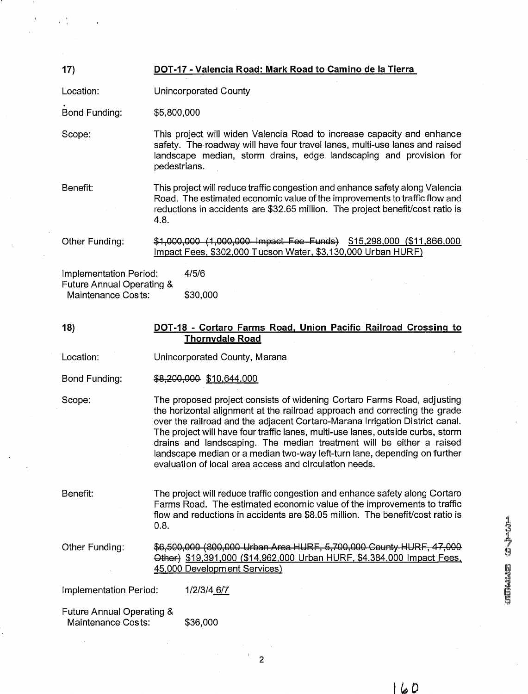| 17)                                                                                  | DOT-17 - Valencia Road: Mark Road to Camino de la Tierra                                                                                                                                                                                                                                                                                                                                                                                                                                                                                |  |  |  |
|--------------------------------------------------------------------------------------|-----------------------------------------------------------------------------------------------------------------------------------------------------------------------------------------------------------------------------------------------------------------------------------------------------------------------------------------------------------------------------------------------------------------------------------------------------------------------------------------------------------------------------------------|--|--|--|
| Location:                                                                            | Unincorporated County                                                                                                                                                                                                                                                                                                                                                                                                                                                                                                                   |  |  |  |
| Bond Funding:                                                                        | \$5,800,000                                                                                                                                                                                                                                                                                                                                                                                                                                                                                                                             |  |  |  |
| Scope:                                                                               | This project will widen Valencia Road to increase capacity and enhance<br>safety. The roadway will have four travel lanes, multi-use lanes and raised<br>landscape median, storm drains, edge landscaping and provision for<br>pedestrians.                                                                                                                                                                                                                                                                                             |  |  |  |
| Benefit:                                                                             | This project will reduce traffic congestion and enhance safety along Valencia<br>Road. The estimated economic value of the improvements to traffic flow and<br>reductions in accidents are \$32.65 million. The project benefit/cost ratio is<br>4.8.                                                                                                                                                                                                                                                                                   |  |  |  |
| Other Funding:                                                                       | \$1,000,000 (1,000,000 Impact Fee Funds) \$15,298,000 (\$11,866,000<br>Impact Fees, \$302,000 Tucson Water, \$3,130,000 Urban HURF)                                                                                                                                                                                                                                                                                                                                                                                                     |  |  |  |
| Implementation Period:<br><b>Future Annual Operating &amp;</b><br>Maintenance Costs: | 4/5/6<br>\$30,000                                                                                                                                                                                                                                                                                                                                                                                                                                                                                                                       |  |  |  |
| 18)                                                                                  | DOT-18 - Cortaro Farms Road, Union Pacific Railroad Crossing to<br><b>Thornydale Road</b>                                                                                                                                                                                                                                                                                                                                                                                                                                               |  |  |  |
| Location:                                                                            | Unincorporated County, Marana                                                                                                                                                                                                                                                                                                                                                                                                                                                                                                           |  |  |  |
| Bond Funding:                                                                        | \$8,200,000 \$10,644,000                                                                                                                                                                                                                                                                                                                                                                                                                                                                                                                |  |  |  |
| Scope:                                                                               | The proposed project consists of widening Cortaro Farms Road, adjusting<br>the horizontal alignment at the railroad approach and correcting the grade<br>over the railroad and the adjacent Cortaro-Marana Irrigation District canal.<br>The project will have four traffic lanes, multi-use lanes, outside curbs, storm<br>drains and landscaping. The median treatment will be either a raised<br>landscape median or a median two-way left-turn lane, depending on further<br>evaluation of local area access and circulation needs. |  |  |  |
| Benefit:                                                                             | The project will reduce traffic congestion and enhance safety along Cortaro<br>Farms Road. The estimated economic value of the improvements to traffic<br>flow and reductions in accidents are \$8.05 million. The benefit/cost ratio is<br>0.8.                                                                                                                                                                                                                                                                                        |  |  |  |
| Other Funding:                                                                       | \$6,500,000 (800,000 Urban Area HURF, 5,700,000 County HURF, 47,000<br>Other) \$19,391,000 (\$14,962,000 Urban HURF, \$4,384,000 Impact Fees,<br>45,000 Development Services)                                                                                                                                                                                                                                                                                                                                                           |  |  |  |
| Implementation Period:                                                               | 1/2/3/4 6/7                                                                                                                                                                                                                                                                                                                                                                                                                                                                                                                             |  |  |  |
| <b>Future Annual Operating &amp;</b><br>Maintenance Costs:                           | \$36,000                                                                                                                                                                                                                                                                                                                                                                                                                                                                                                                                |  |  |  |

 $\mathbf{r}$ 

À,

UNHAM O<sup>nje</sup>ja<sup>na</sup>

 $160$ 

 $\overline{c}$ 

 $\frac{1}{2}$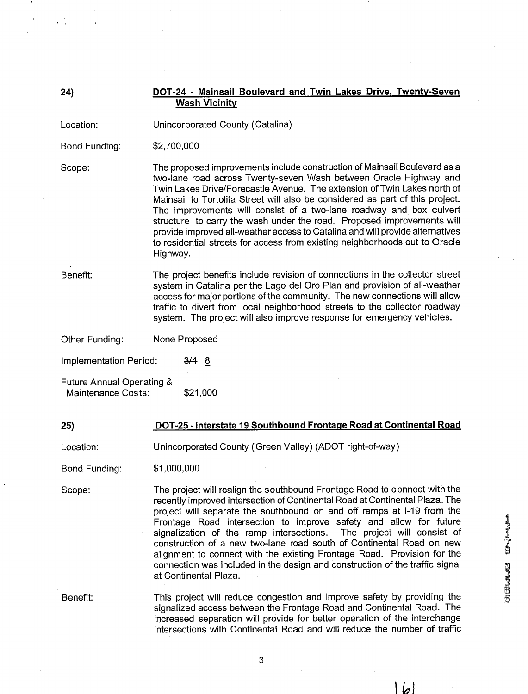**24) DOT-24** - **Mainsail Boulevard and Twin Lakes Drive, Twenty-Seven Wash Vicinitv** 

Location: Unincorporated County (Catalina)

Bond Funding: \$2,700,000

Scope:

The proposed improvements include construction of Mainsail Boulevard as a two-lane road across Twenty-seven Wash between Oracle Highway and Twin Lakes Drive/Forecastle Avenue. The extension of Twin Lakes north of Mainsail to Tortolita Street will also be considered as part of this project. The improvements will consist of a two-lane roadway and box culvert structure to carry the wash under the road. Proposed improvements will provide improved all-weather access to Catalina and will provide alternatives to residential streets for access from existing neighborhoods out to Oracle Highway.

Benefit:

The project benefits include revision of connections in the collector street system in Catalina per the Lago del Oro Plan and provision of all-weather access for major portions of the community. The new connections will allow traffic to divert from local neighborhood streets to the collector roadway system. The project will also improve response for emergency vehicles.

Other Funding: None Proposed

Implementation Period: 3/4 8

Future Annual Operating & Maintenance Costs: \$21,000

## **25) DOT-25** - **Interstate 19 Southbound Frontaae Road at Continental Road**

Location: Unincorporated County (Green Valley) (ADOT right-of-way)

Bond Funding: \$1,000,000

Scope:

The project will realign the southbound Frontage Road to connect with the recently improved intersection of Continental Road at Continental Plaza. The project will separate the southbound on and off ramps at 1-19 from the Frontage Road intersection to improve safety and allow for future signalization of the ramp intersections. The project will consist of construction of a new two-lane road south of Continental Road on new alignment to connect with the existing Frontage Road. Provision for the connection was included in the design and construction of the traffic signal at Continental Plaza.

Benefit:

This project will reduce congestion and improve safety by providing the signalized access between the Frontage Road and Continental Road. The increased separation will provide for better operation of the interchange intersections with Continental Road and will reduce the number of traffic

ا ھا ا

3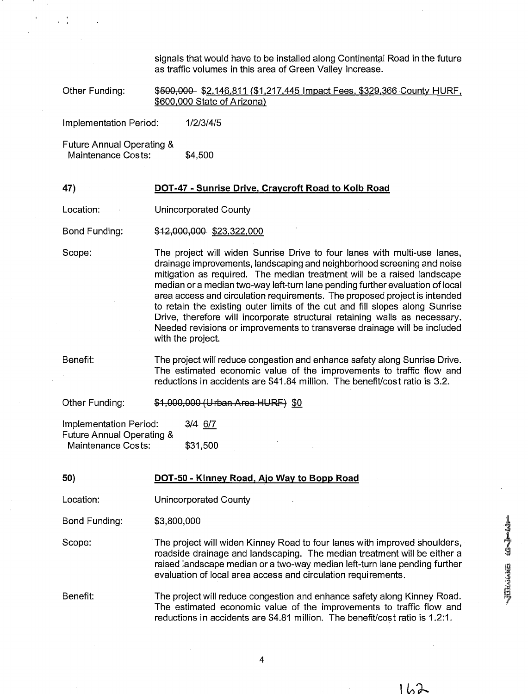signals that would have to be installed along Continental Road in the future as traffic volumes in this area of Green Valley increase.

Other Funding: **\$500,000 \$2,146,811 (\$1,217,445 Impact Fees, \$329,366 County HURF,** \$600,000 State of Arizona)

Implementation Period: 1/2/3/4/5

Future Annual Operating & Maintenance Costs: \$4,500

## **47) DOT-47** - **Sunrise Drive, Cravcroft Road to Kolb Road**

Location: Unincorporated County

Bond Funding:  $$12,000,000$  \$23,322,000

Scope: The project will widen Sunrise Drive to four lanes with multi-use lanes, drainage improvements, landscaping and neighborhood screening and noise mitigation as required. The median treatment will be a raised landscape median or a median two-way left-turn lane pending further evaluation of local area access and circulation requirements. The proposed project is intended to retain the existing outer limits of the cut and fill slopes along Sunrise Drive, therefore will incorporate structural retaining walls as necessary. Needed revisions or improvements to transverse drainage will be included with the project.

Benefit: The project will reduce congestion and enhance safety along Sunrise Drive. The estimated economic value of the improvements to traffic flow and reductions in accidents are \$41.84 million. The benefit/cost ratio is 3.2.

Other Funding: \$1,000,000 (Urban Area HURF) \$0

Implementation Period: 3/4 6/7 Future Annual Operating & Maintenance Costs: \$31,500

**50) DOT-50** - **Kinnev Road, Aio Wav to Bopp Road**  Location: Unincorporated County Bond Funding: \$3,800,000 Scope: Benefit: The project will widen Kinney Road to four lanes with improved shoulders, roadside drainage and landscaping. The median treatment will be either a raised landscape median or a two-way median left-turn lane pending further evaluation of local area access and circulation requirements. The project will reduce congestion and enhance safety along Kinney Road. The estimated economic value of the improvements to traffic flow and reductions in accidents are \$4.81 million. The benefit/cost ratio is 1.2:1.

Villandia 10 Julia

しんみ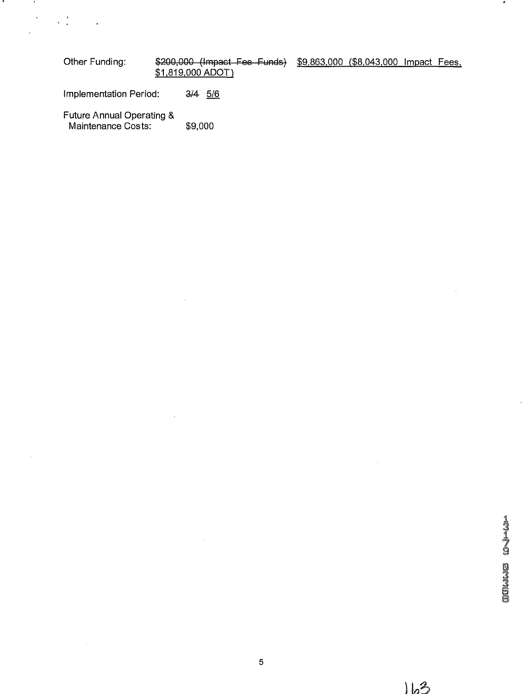| Other Funding: | \$200,000 (Impact Fee-Funds) \$9,863,000 (\$8,043,000 Impact Fees, |  |  |
|----------------|--------------------------------------------------------------------|--|--|
|                | \$1,819,000 ADOT)                                                  |  |  |

Implementation Period: *%5/6* 

Future Annual Operating & Maintenance Costs: \$9,000